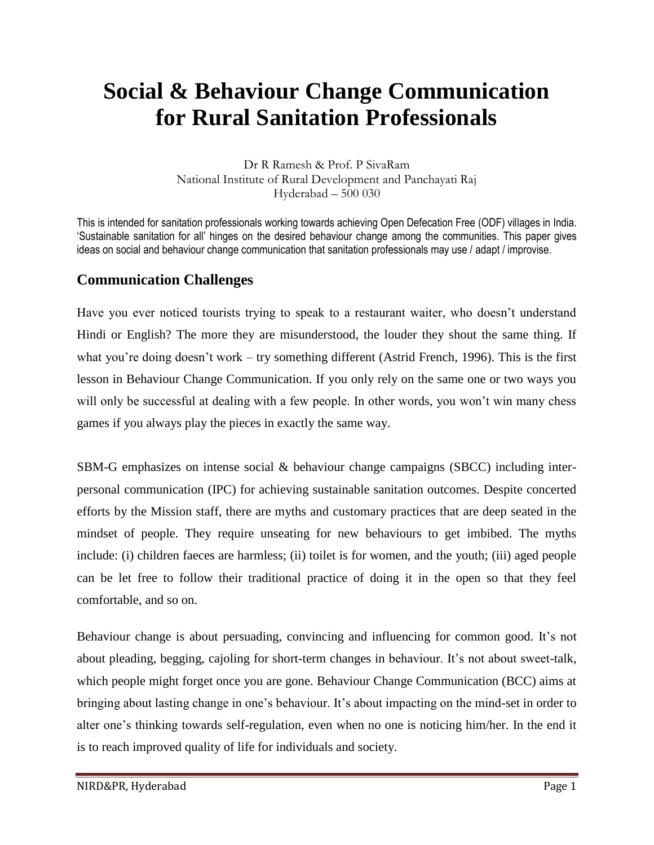# **Social & Behaviour Change Communication for Rural Sanitation Professionals**

Dr R Ramesh & Prof. P SivaRam National Institute of Rural Development and Panchayati Raj Hyderabad – 500 030

This is intended for sanitation professionals working towards achieving Open Defecation Free (ODF) villages in India. 'Sustainable sanitation for all' hinges on the desired behaviour change among the communities. This paper gives ideas on social and behaviour change communication that sanitation professionals may use / adapt / improvise.

## **Communication Challenges**

Have you ever noticed tourists trying to speak to a restaurant waiter, who doesn't understand Hindi or English? The more they are misunderstood, the louder they shout the same thing. If what you're doing doesn't work – try something different (Astrid French, 1996). This is the first lesson in Behaviour Change Communication. If you only rely on the same one or two ways you will only be successful at dealing with a few people. In other words, you won't win many chess games if you always play the pieces in exactly the same way.

SBM-G emphasizes on intense social & behaviour change campaigns (SBCC) including interpersonal communication (IPC) for achieving sustainable sanitation outcomes. Despite concerted efforts by the Mission staff, there are myths and customary practices that are deep seated in the mindset of people. They require unseating for new behaviours to get imbibed. The myths include: (i) children faeces are harmless; (ii) toilet is for women, and the youth; (iii) aged people can be let free to follow their traditional practice of doing it in the open so that they feel comfortable, and so on.

Behaviour change is about persuading, convincing and influencing for common good. It's not about pleading, begging, cajoling for short-term changes in behaviour. It's not about sweet-talk, which people might forget once you are gone. Behaviour Change Communication (BCC) aims at bringing about lasting change in one's behaviour. It's about impacting on the mind-set in order to alter one's thinking towards self-regulation, even when no one is noticing him/her. In the end it is to reach improved quality of life for individuals and society.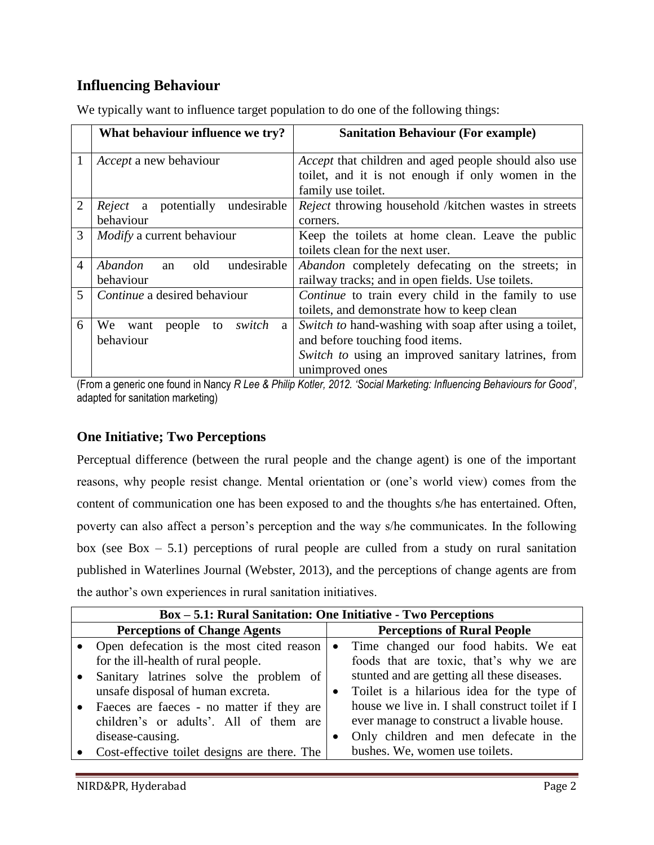## **Influencing Behaviour**

|                | What behaviour influence we try?           | <b>Sanitation Behaviour (For example)</b>                 |  |  |
|----------------|--------------------------------------------|-----------------------------------------------------------|--|--|
| 1              | <i>Accept</i> a new behaviour              | Accept that children and aged people should also use      |  |  |
|                |                                            | toilet, and it is not enough if only women in the         |  |  |
|                |                                            | family use toilet.                                        |  |  |
| $\overline{2}$ | <i>Reject</i> a potentially<br>undesirable | Reject throwing household /kitchen wastes in streets      |  |  |
|                | behaviour                                  | corners.                                                  |  |  |
| 3              | <i>Modify</i> a current behaviour          | Keep the toilets at home clean. Leave the public          |  |  |
|                |                                            | toilets clean for the next user.                          |  |  |
| 4              | undesirable<br>Abandon<br>old<br>an        | <i>Abandon</i> completely defecating on the streets; in   |  |  |
|                | behaviour                                  | railway tracks; and in open fields. Use toilets.          |  |  |
| 5              | Continue a desired behaviour               | <i>Continue</i> to train every child in the family to use |  |  |
|                |                                            | toilets, and demonstrate how to keep clean                |  |  |
| 6              | switch<br>We<br>want<br>people<br>to<br>a  | Switch to hand-washing with soap after using a toilet,    |  |  |
|                | behaviour                                  | and before touching food items.                           |  |  |
|                |                                            | Switch to using an improved sanitary latrines, from       |  |  |
|                |                                            | unimproved ones                                           |  |  |

We typically want to influence target population to do one of the following things:

(From a generic one found in Nancy *R Lee & Philip Kotler, 2012. 'Social Marketing: Influencing Behaviours for Good'*, adapted for sanitation marketing)

#### **One Initiative; Two Perceptions**

Perceptual difference (between the rural people and the change agent) is one of the important reasons, why people resist change. Mental orientation or (one's world view) comes from the content of communication one has been exposed to and the thoughts s/he has entertained. Often, poverty can also affect a person's perception and the way s/he communicates. In the following box (see Box  $-5.1$ ) perceptions of rural people are culled from a study on rural sanitation published in Waterlines Journal (Webster, 2013), and the perceptions of change agents are from the author's own experiences in rural sanitation initiatives.

|                                     | <b>Box - 5.1: Rural Sanitation: One Initiative - Two Perceptions</b> |           |                                                 |  |  |  |
|-------------------------------------|----------------------------------------------------------------------|-----------|-------------------------------------------------|--|--|--|
| <b>Perceptions of Change Agents</b> |                                                                      |           | <b>Perceptions of Rural People</b>              |  |  |  |
|                                     | • Open defecation is the most cited reason                           | $\bullet$ | Time changed our food habits. We eat            |  |  |  |
|                                     | for the ill-health of rural people.                                  |           | foods that are toxic, that's why we are         |  |  |  |
|                                     | Sanitary latrines solve the problem of                               |           | stunted and are getting all these diseases.     |  |  |  |
|                                     | unsafe disposal of human excreta.                                    |           | Toilet is a hilarious idea for the type of      |  |  |  |
|                                     | Faeces are faeces - no matter if they are                            |           | house we live in. I shall construct toilet if I |  |  |  |
|                                     | children's or adults'. All of them are                               |           | ever manage to construct a livable house.       |  |  |  |
|                                     | disease-causing.                                                     |           | Only children and men defecate in the           |  |  |  |
|                                     | Cost-effective toilet designs are there. The                         |           | bushes. We, women use toilets.                  |  |  |  |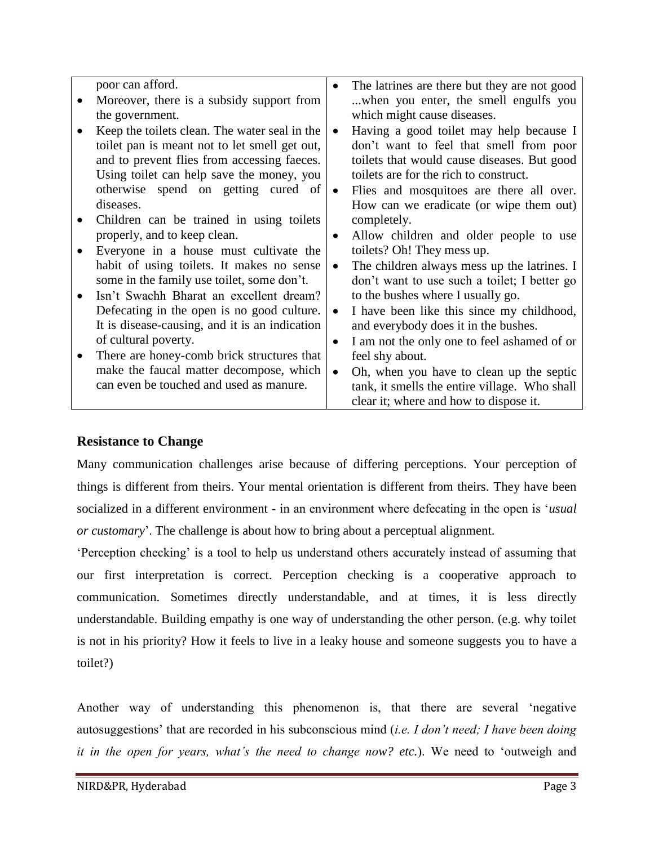| poor can afford.                               | $\bullet$ | The latrines are there but they are not good  |
|------------------------------------------------|-----------|-----------------------------------------------|
| Moreover, there is a subsidy support from      |           | when you enter, the smell engulfs you         |
| the government.                                |           | which might cause diseases.                   |
| Keep the toilets clean. The water seal in the  | $\bullet$ | Having a good toilet may help because I       |
| toilet pan is meant not to let smell get out,  |           | don't want to feel that smell from poor       |
| and to prevent flies from accessing faeces.    |           | toilets that would cause diseases. But good   |
| Using toilet can help save the money, you      |           | toilets are for the rich to construct.        |
| otherwise spend on getting cured of            |           | Flies and mosquitoes are there all over.      |
| diseases.                                      |           | How can we eradicate (or wipe them out)       |
| Children can be trained in using toilets       |           | completely.                                   |
| properly, and to keep clean.                   | $\bullet$ | Allow children and older people to use        |
| Everyone in a house must cultivate the         |           | toilets? Oh! They mess up.                    |
| habit of using toilets. It makes no sense      | $\bullet$ | The children always mess up the latrines. I   |
| some in the family use toilet, some don't.     |           | don't want to use such a toilet; I better go  |
| Isn't Swachh Bharat an excellent dream?        |           | to the bushes where I usually go.             |
| Defecating in the open is no good culture.     |           | I have been like this since my childhood,     |
| It is disease-causing, and it is an indication |           | and everybody does it in the bushes.          |
| of cultural poverty.                           | $\bullet$ | I am not the only one to feel ashamed of or   |
| There are honey-comb brick structures that     |           | feel shy about.                               |
| make the faucal matter decompose, which        | $\bullet$ | Oh, when you have to clean up the septic      |
| can even be touched and used as manure.        |           | tank, it smells the entire village. Who shall |
|                                                |           | clear it; where and how to dispose it.        |

#### **Resistance to Change**

Many communication challenges arise because of differing perceptions. Your perception of things is different from theirs. Your mental orientation is different from theirs. They have been socialized in a different environment - in an environment where defecating in the open is '*usual or customary*'. The challenge is about how to bring about a perceptual alignment.

'Perception checking' is a tool to help us understand others accurately instead of assuming that our first interpretation is correct. Perception checking is a cooperative approach to communication. Sometimes directly understandable, and at times, it is less directly understandable. Building empathy is one way of understanding the other person. (e.g. why toilet is not in his priority? How it feels to live in a leaky house and someone suggests you to have a toilet?)

Another way of understanding this phenomenon is, that there are several 'negative autosuggestions' that are recorded in his subconscious mind (*i.e. I don't need; I have been doing it in the open for years, what's the need to change now? etc.*). We need to 'outweigh and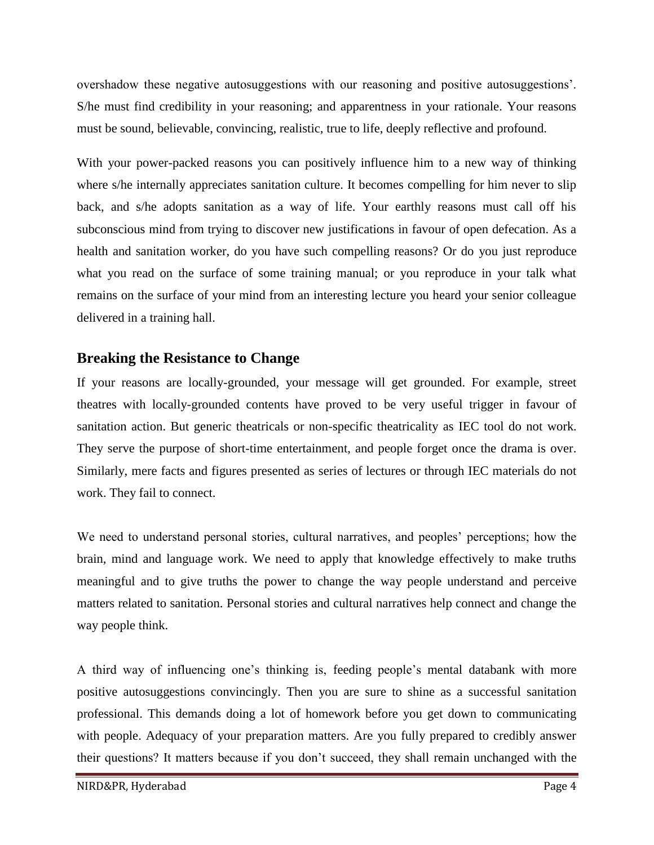overshadow these negative autosuggestions with our reasoning and positive autosuggestions'. S/he must find credibility in your reasoning; and apparentness in your rationale. Your reasons must be sound, believable, convincing, realistic, true to life, deeply reflective and profound.

With your power-packed reasons you can positively influence him to a new way of thinking where s/he internally appreciates sanitation culture. It becomes compelling for him never to slip back, and s/he adopts sanitation as a way of life. Your earthly reasons must call off his subconscious mind from trying to discover new justifications in favour of open defecation. As a health and sanitation worker, do you have such compelling reasons? Or do you just reproduce what you read on the surface of some training manual; or you reproduce in your talk what remains on the surface of your mind from an interesting lecture you heard your senior colleague delivered in a training hall.

## **Breaking the Resistance to Change**

If your reasons are locally-grounded, your message will get grounded. For example, street theatres with locally-grounded contents have proved to be very useful trigger in favour of sanitation action. But generic theatricals or non-specific theatricality as IEC tool do not work. They serve the purpose of short-time entertainment, and people forget once the drama is over. Similarly, mere facts and figures presented as series of lectures or through IEC materials do not work. They fail to connect.

We need to understand personal stories, cultural narratives, and peoples' perceptions; how the brain, mind and language work. We need to apply that knowledge effectively to make truths meaningful and to give truths the power to change the way people understand and perceive matters related to sanitation. Personal stories and cultural narratives help connect and change the way people think.

A third way of influencing one's thinking is, feeding people's mental databank with more positive autosuggestions convincingly. Then you are sure to shine as a successful sanitation professional. This demands doing a lot of homework before you get down to communicating with people. Adequacy of your preparation matters. Are you fully prepared to credibly answer their questions? It matters because if you don't succeed, they shall remain unchanged with the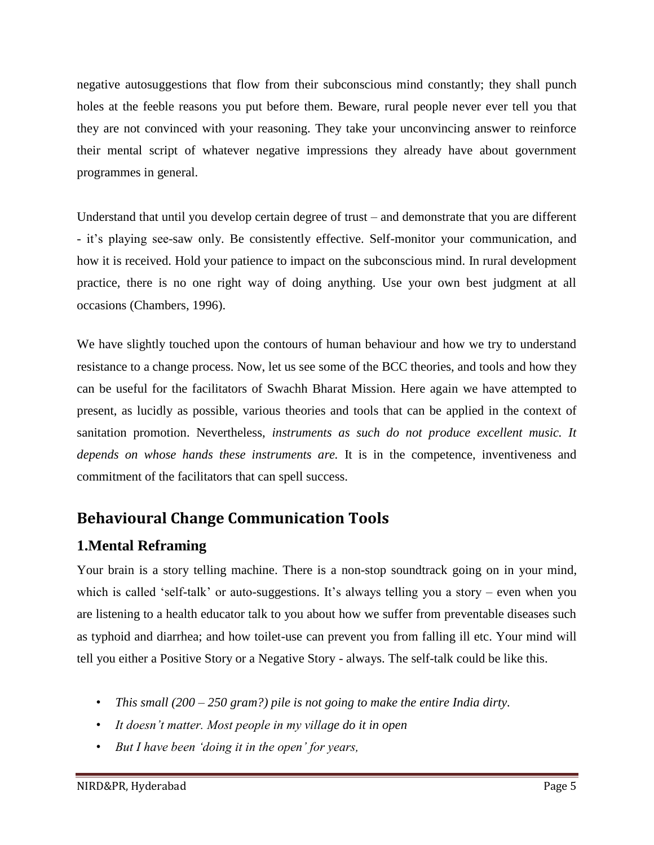negative autosuggestions that flow from their subconscious mind constantly; they shall punch holes at the feeble reasons you put before them. Beware, rural people never ever tell you that they are not convinced with your reasoning. They take your unconvincing answer to reinforce their mental script of whatever negative impressions they already have about government programmes in general.

Understand that until you develop certain degree of trust – and demonstrate that you are different - it's playing see-saw only. Be consistently effective. Self-monitor your communication, and how it is received. Hold your patience to impact on the subconscious mind. In rural development practice, there is no one right way of doing anything. Use your own best judgment at all occasions (Chambers, 1996).

We have slightly touched upon the contours of human behaviour and how we try to understand resistance to a change process. Now, let us see some of the BCC theories, and tools and how they can be useful for the facilitators of Swachh Bharat Mission. Here again we have attempted to present, as lucidly as possible, various theories and tools that can be applied in the context of sanitation promotion. Nevertheless, *instruments as such do not produce excellent music. It depends on whose hands these instruments are.* It is in the competence, inventiveness and commitment of the facilitators that can spell success.

## **Behavioural Change Communication Tools**

## **1.Mental Reframing**

Your brain is a story telling machine. There is a non-stop soundtrack going on in your mind, which is called 'self-talk' or auto-suggestions. It's always telling you a story – even when you are listening to a health educator talk to you about how we suffer from preventable diseases such as typhoid and diarrhea; and how toilet-use can prevent you from falling ill etc. Your mind will tell you either a Positive Story or a Negative Story - always. The self-talk could be like this.

- *This small (200 – 250 gram?) pile is not going to make the entire India dirty.*
- *It doesn't matter. Most people in my village do it in open*
- *But I have been 'doing it in the open' for years,*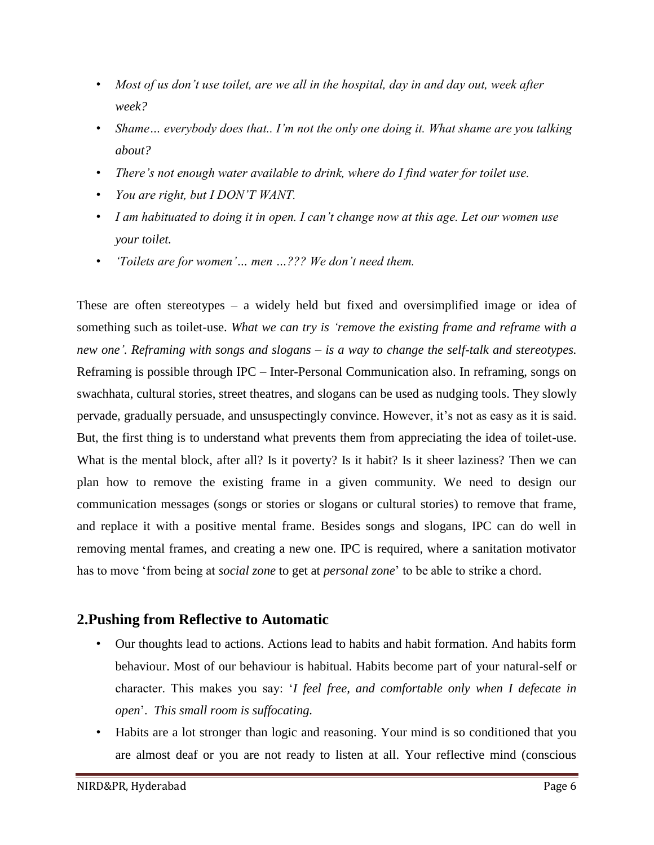- *Most of us don't use toilet, are we all in the hospital, day in and day out, week after week?*
- *Shame… everybody does that.. I'm not the only one doing it. What shame are you talking about?*
- *There's not enough water available to drink, where do I find water for toilet use.*
- *You are right, but I DON'T WANT.*
- *I am habituated to doing it in open. I can't change now at this age. Let our women use your toilet.*
- *'Toilets are for women'… men …??? We don't need them.*

These are often stereotypes – a widely held but fixed and oversimplified image or idea of something such as toilet-use. *What we can try is 'remove the existing frame and reframe with a new one'. Reframing with songs and slogans – is a way to change the self-talk and stereotypes.* Reframing is possible through IPC – Inter-Personal Communication also. In reframing, songs on swachhata, cultural stories, street theatres, and slogans can be used as nudging tools. They slowly pervade, gradually persuade, and unsuspectingly convince. However, it's not as easy as it is said. But, the first thing is to understand what prevents them from appreciating the idea of toilet-use. What is the mental block, after all? Is it poverty? Is it habit? Is it sheer laziness? Then we can plan how to remove the existing frame in a given community. We need to design our communication messages (songs or stories or slogans or cultural stories) to remove that frame, and replace it with a positive mental frame. Besides songs and slogans, IPC can do well in removing mental frames, and creating a new one. IPC is required, where a sanitation motivator has to move 'from being at *social zone* to get at *personal zone*' to be able to strike a chord.

## **2.Pushing from Reflective to Automatic**

- Our thoughts lead to actions. Actions lead to habits and habit formation. And habits form behaviour. Most of our behaviour is habitual. Habits become part of your natural-self or character. This makes you say: '*I feel free, and comfortable only when I defecate in open*'. *This small room is suffocating.*
- Habits are a lot stronger than logic and reasoning. Your mind is so conditioned that you are almost deaf or you are not ready to listen at all. Your reflective mind (conscious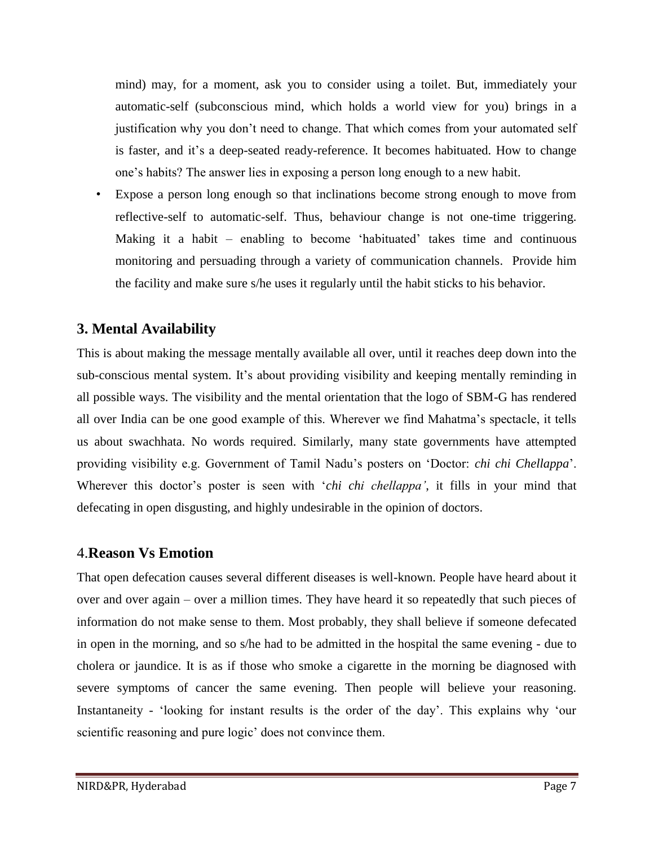mind) may, for a moment, ask you to consider using a toilet. But, immediately your automatic-self (subconscious mind, which holds a world view for you) brings in a justification why you don't need to change. That which comes from your automated self is faster, and it's a deep-seated ready-reference. It becomes habituated. How to change one's habits? The answer lies in exposing a person long enough to a new habit.

Expose a person long enough so that inclinations become strong enough to move from reflective-self to automatic-self. Thus, behaviour change is not one-time triggering. Making it a habit – enabling to become 'habituated' takes time and continuous monitoring and persuading through a variety of communication channels. Provide him the facility and make sure s/he uses it regularly until the habit sticks to his behavior.

## **3. Mental Availability**

This is about making the message mentally available all over, until it reaches deep down into the sub-conscious mental system. It's about providing visibility and keeping mentally reminding in all possible ways. The visibility and the mental orientation that the logo of SBM-G has rendered all over India can be one good example of this. Wherever we find Mahatma's spectacle, it tells us about swachhata. No words required. Similarly, many state governments have attempted providing visibility e.g. Government of Tamil Nadu's posters on 'Doctor: *chi chi Chellappa*'. Wherever this doctor's poster is seen with '*chi chi chellappa'*, it fills in your mind that defecating in open disgusting, and highly undesirable in the opinion of doctors.

## 4.**Reason Vs Emotion**

That open defecation causes several different diseases is well-known. People have heard about it over and over again – over a million times. They have heard it so repeatedly that such pieces of information do not make sense to them. Most probably, they shall believe if someone defecated in open in the morning, and so s/he had to be admitted in the hospital the same evening - due to cholera or jaundice. It is as if those who smoke a cigarette in the morning be diagnosed with severe symptoms of cancer the same evening. Then people will believe your reasoning. Instantaneity - 'looking for instant results is the order of the day'. This explains why 'our scientific reasoning and pure logic' does not convince them.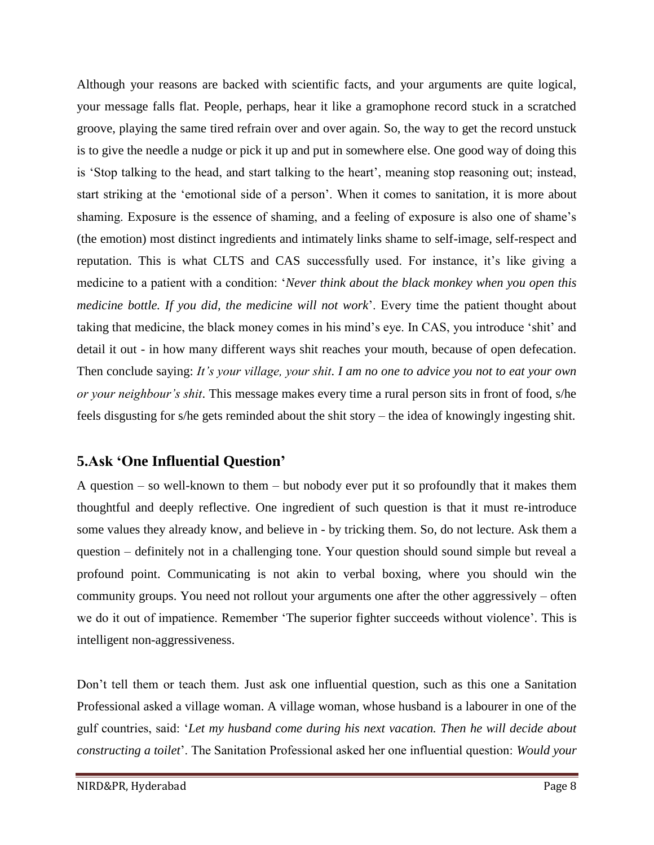Although your reasons are backed with scientific facts, and your arguments are quite logical, your message falls flat. People, perhaps, hear it like a gramophone record stuck in a scratched groove, playing the same tired refrain over and over again. So, the way to get the record unstuck is to give the needle a nudge or pick it up and put in somewhere else. One good way of doing this is 'Stop talking to the head, and start talking to the heart', meaning stop reasoning out; instead, start striking at the 'emotional side of a person'. When it comes to sanitation, it is more about shaming. Exposure is the essence of shaming, and a feeling of exposure is also one of shame's (the emotion) most distinct ingredients and intimately links shame to self-image, self-respect and reputation. This is what CLTS and CAS successfully used. For instance, it's like giving a medicine to a patient with a condition: '*Never think about the black monkey when you open this medicine bottle. If you did, the medicine will not work*'. Every time the patient thought about taking that medicine, the black money comes in his mind's eye. In CAS, you introduce 'shit' and detail it out - in how many different ways shit reaches your mouth, because of open defecation. Then conclude saying: *It's your village, your shit. I am no one to advice you not to eat your own or your neighbour's shit*. This message makes every time a rural person sits in front of food, s/he feels disgusting for s/he gets reminded about the shit story – the idea of knowingly ingesting shit.

## **5.Ask 'One Influential Question'**

A question – so well-known to them – but nobody ever put it so profoundly that it makes them thoughtful and deeply reflective. One ingredient of such question is that it must re-introduce some values they already know, and believe in - by tricking them. So, do not lecture. Ask them a question – definitely not in a challenging tone. Your question should sound simple but reveal a profound point. Communicating is not akin to verbal boxing, where you should win the community groups. You need not rollout your arguments one after the other aggressively – often we do it out of impatience. Remember 'The superior fighter succeeds without violence'. This is intelligent non-aggressiveness.

Don't tell them or teach them. Just ask one influential question, such as this one a Sanitation Professional asked a village woman. A village woman, whose husband is a labourer in one of the gulf countries, said: '*Let my husband come during his next vacation. Then he will decide about constructing a toilet*'. The Sanitation Professional asked her one influential question: *Would your*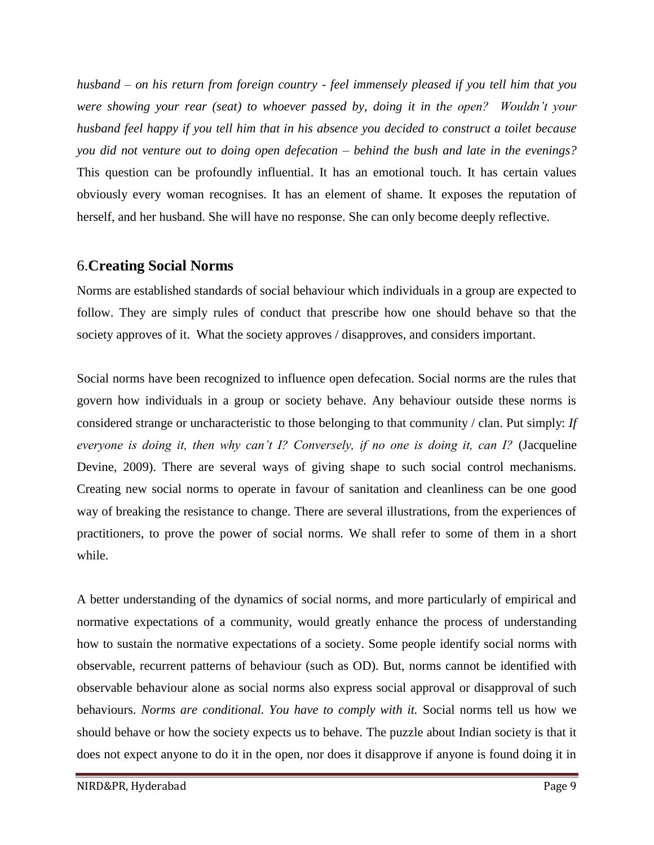*husband – on his return from foreign country - feel immensely pleased if you tell him that you were showing your rear (seat) to whoever passed by, doing it in the open? Wouldn't your husband feel happy if you tell him that in his absence you decided to construct a toilet because you did not venture out to doing open defecation – behind the bush and late in the evenings?* This question can be profoundly influential. It has an emotional touch. It has certain values obviously every woman recognises. It has an element of shame. It exposes the reputation of herself, and her husband. She will have no response. She can only become deeply reflective.

## 6.**Creating Social Norms**

Norms are established standards of social behaviour which individuals in a group are expected to follow. They are simply rules of conduct that prescribe how one should behave so that the society approves of it. What the society approves / disapproves, and considers important.

Social norms have been recognized to influence open defecation. Social norms are the rules that govern how individuals in a group or society behave. Any behaviour outside these norms is considered strange or uncharacteristic to those belonging to that community / clan. Put simply: *If everyone is doing it, then why can't I? Conversely, if no one is doing it, can I?* (Jacqueline Devine, 2009). There are several ways of giving shape to such social control mechanisms. Creating new social norms to operate in favour of sanitation and cleanliness can be one good way of breaking the resistance to change. There are several illustrations, from the experiences of practitioners, to prove the power of social norms. We shall refer to some of them in a short while.

A better understanding of the dynamics of social norms, and more particularly of empirical and normative expectations of a community, would greatly enhance the process of understanding how to sustain the normative expectations of a society. Some people identify social norms with observable, recurrent patterns of behaviour (such as OD). But, norms cannot be identified with observable behaviour alone as social norms also express social approval or disapproval of such behaviours. *Norms are conditional. You have to comply with it.* Social norms tell us how we should behave or how the society expects us to behave. The puzzle about Indian society is that it does not expect anyone to do it in the open, nor does it disapprove if anyone is found doing it in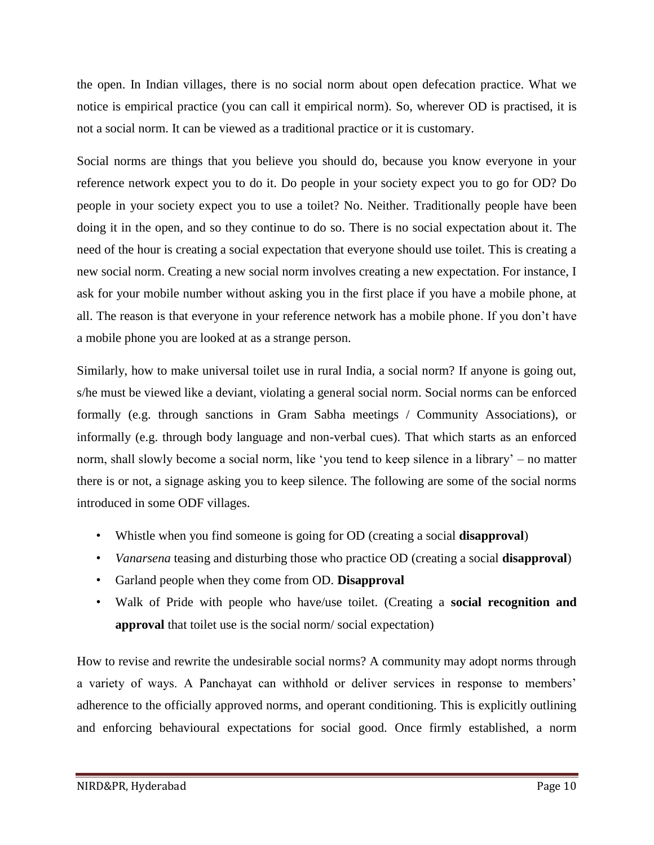the open. In Indian villages, there is no social norm about open defecation practice. What we notice is empirical practice (you can call it empirical norm). So, wherever OD is practised, it is not a social norm. It can be viewed as a traditional practice or it is customary.

Social norms are things that you believe you should do, because you know everyone in your reference network expect you to do it. Do people in your society expect you to go for OD? Do people in your society expect you to use a toilet? No. Neither. Traditionally people have been doing it in the open, and so they continue to do so. There is no social expectation about it. The need of the hour is creating a social expectation that everyone should use toilet. This is creating a new social norm. Creating a new social norm involves creating a new expectation. For instance, I ask for your mobile number without asking you in the first place if you have a mobile phone, at all. The reason is that everyone in your reference network has a mobile phone. If you don't have a mobile phone you are looked at as a strange person.

Similarly, how to make universal toilet use in rural India, a social norm? If anyone is going out, s/he must be viewed like a deviant, violating a general social norm. Social norms can be enforced formally (e.g. through sanctions in Gram Sabha meetings / Community Associations), or informally (e.g. through body language and non-verbal cues). That which starts as an enforced norm, shall slowly become a social norm, like 'you tend to keep silence in a library' – no matter there is or not, a signage asking you to keep silence. The following are some of the social norms introduced in some ODF villages.

- Whistle when you find someone is going for OD (creating a social **disapproval**)
- *Vanarsena* teasing and disturbing those who practice OD (creating a social **disapproval**)
- Garland people when they come from OD. **Disapproval**
- Walk of Pride with people who have/use toilet. (Creating a **social recognition and approval** that toilet use is the social norm/ social expectation)

How to revise and rewrite the undesirable social norms? A community may adopt norms through a variety of ways. A Panchayat can withhold or deliver services in response to members' adherence to the officially approved norms, and operant conditioning. This is explicitly outlining and enforcing behavioural expectations for social good. Once firmly established, a norm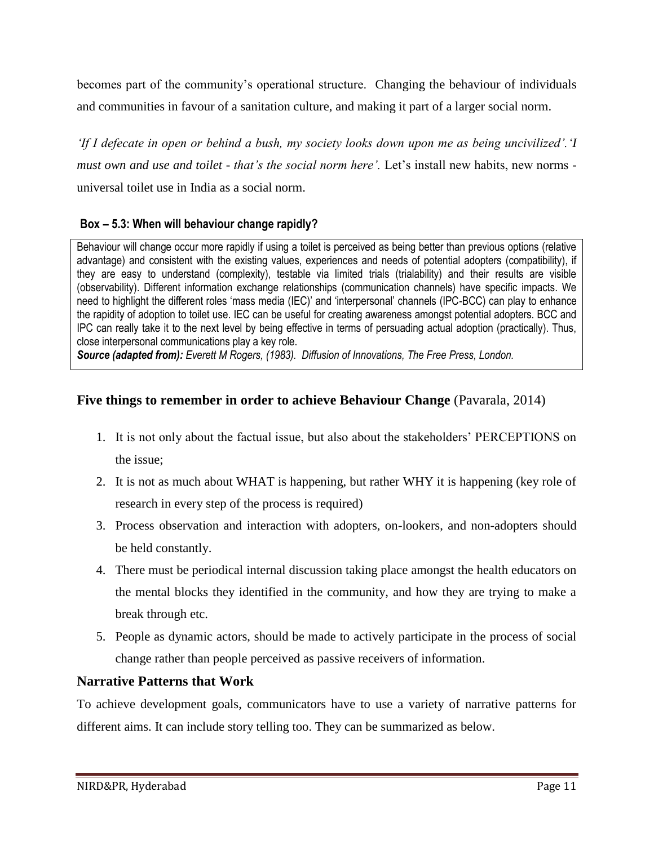becomes part of the community's operational structure. Changing the behaviour of individuals and communities in favour of a sanitation culture, and making it part of a larger social norm.

*'If I defecate in open or behind a bush, my society looks down upon me as being uncivilized'.'I must own and use and toilet - that's the social norm here'.* Let's install new habits, new norms universal toilet use in India as a social norm.

#### **Box – 5.3: When will behaviour change rapidly?**

Behaviour will change occur more rapidly if using a toilet is perceived as being better than previous options (relative advantage) and consistent with the existing values, experiences and needs of potential adopters (compatibility), if they are easy to understand (complexity), testable via limited trials (trialability) and their results are visible (observability). Different information exchange relationships (communication channels) have specific impacts. We need to highlight the different roles 'mass media (IEC)' and 'interpersonal' channels (IPC-BCC) can play to enhance the rapidity of adoption to toilet use. IEC can be useful for creating awareness amongst potential adopters. BCC and IPC can really take it to the next level by being effective in terms of persuading actual adoption (practically). Thus, close interpersonal communications play a key role.

*Source (adapted from): Everett M Rogers, (1983). Diffusion of Innovations, The Free Press, London.* 

## **Five things to remember in order to achieve Behaviour Change** (Pavarala, 2014)

- 1. It is not only about the factual issue, but also about the stakeholders' PERCEPTIONS on the issue;
- 2. It is not as much about WHAT is happening, but rather WHY it is happening (key role of research in every step of the process is required)
- 3. Process observation and interaction with adopters, on-lookers, and non-adopters should be held constantly.
- 4. There must be periodical internal discussion taking place amongst the health educators on the mental blocks they identified in the community, and how they are trying to make a break through etc.
- 5. People as dynamic actors, should be made to actively participate in the process of social change rather than people perceived as passive receivers of information.

#### **Narrative Patterns that Work**

To achieve development goals, communicators have to use a variety of narrative patterns for different aims. It can include story telling too. They can be summarized as below.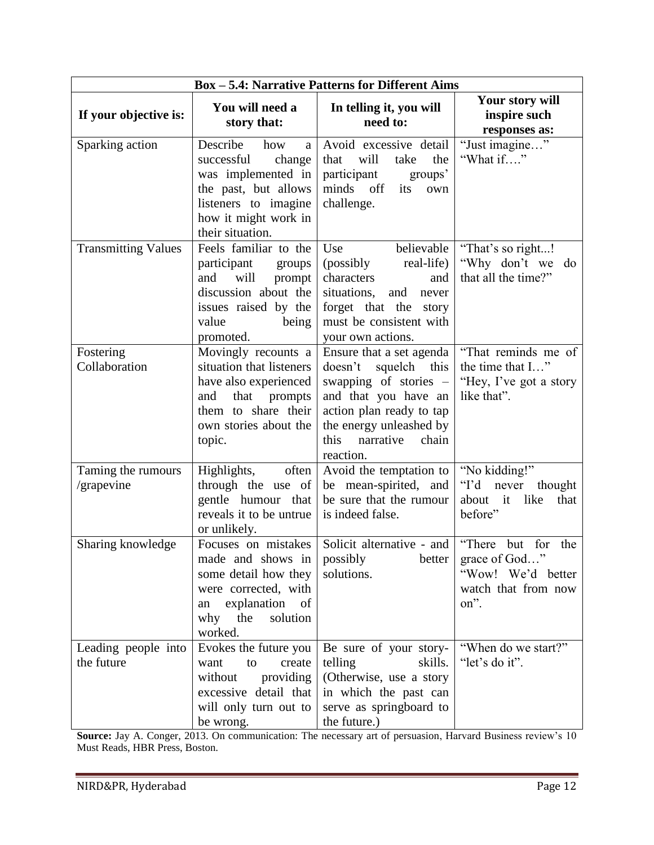| <b>Box - 5.4: Narrative Patterns for Different Aims</b> |                                                                                                                                                                |                                                                                                                                                                                                           |                                                                                                  |  |  |  |  |  |
|---------------------------------------------------------|----------------------------------------------------------------------------------------------------------------------------------------------------------------|-----------------------------------------------------------------------------------------------------------------------------------------------------------------------------------------------------------|--------------------------------------------------------------------------------------------------|--|--|--|--|--|
| If your objective is:                                   | You will need a<br>story that:                                                                                                                                 | In telling it, you will<br>need to:                                                                                                                                                                       | Your story will<br>inspire such<br>responses as:                                                 |  |  |  |  |  |
| Sparking action                                         | Describe<br>how<br>a<br>change<br>successful<br>was implemented in<br>the past, but allows<br>listeners to imagine<br>how it might work in<br>their situation. | Avoid excessive detail<br>that<br>will<br>the<br>take<br>participant<br>groups'<br>minds off<br>its<br>own<br>challenge.                                                                                  | "Just imagine"<br>"What if"                                                                      |  |  |  |  |  |
| <b>Transmitting Values</b>                              | Feels familiar to the<br>participant<br>groups<br>and<br>will<br>prompt<br>discussion about the<br>issues raised by the<br>value<br>being<br>promoted.         | Use<br>believable<br>real-life)<br>(possibly<br>characters<br>and<br>situations,<br>and<br>never<br>forget that the<br>story<br>must be consistent with<br>your own actions.                              | "That's so right!<br>"Why don't we<br>do<br>that all the time?"                                  |  |  |  |  |  |
| Fostering<br>Collaboration                              | Movingly recounts a<br>situation that listeners<br>have also experienced<br>prompts<br>and<br>that<br>them to share their<br>own stories about the<br>topic.   | Ensure that a set agenda<br>doesn't<br>squelch<br>this<br>swapping of stories –<br>and that you have an<br>action plan ready to tap<br>the energy unleashed by<br>this<br>narrative<br>chain<br>reaction. | "That reminds me of<br>the time that I"<br>"Hey, I've got a story<br>like that".                 |  |  |  |  |  |
| Taming the rumours<br>/grapevine                        | Highlights,<br>often<br>through the use of<br>gentle humour that<br>reveals it to be untrue<br>or unlikely.                                                    | Avoid the temptation to<br>be mean-spirited, and<br>be sure that the rumour<br>is indeed false.                                                                                                           | "No kidding!"<br>" $\Gamma$ d<br>never<br>thought<br>about<br>it<br>like<br>that<br>before"      |  |  |  |  |  |
| Sharing knowledge                                       | Focuses on mistakes<br>made and shows in<br>some detail how they<br>were corrected, with<br>explanation of<br>an<br>why<br>the solution<br>worked.             | Solicit alternative - and<br>possibly<br>better<br>solutions.                                                                                                                                             | "There<br>for<br>but<br>the<br>grace of God"<br>"Wow! We'd better<br>watch that from now<br>on". |  |  |  |  |  |
| Leading people into<br>the future                       | Evokes the future you<br>create<br>want<br>to<br>without<br>providing<br>excessive detail that<br>will only turn out to<br>be wrong.                           | Be sure of your story-<br>skills.<br>telling<br>(Otherwise, use a story<br>in which the past can<br>serve as springboard to<br>the future.)                                                               | "When do we start?"<br>"let's do it".                                                            |  |  |  |  |  |

**Source:** Jay A. Conger, 2013. On communication: The necessary art of persuasion, Harvard Business review's 10 Must Reads, HBR Press, Boston.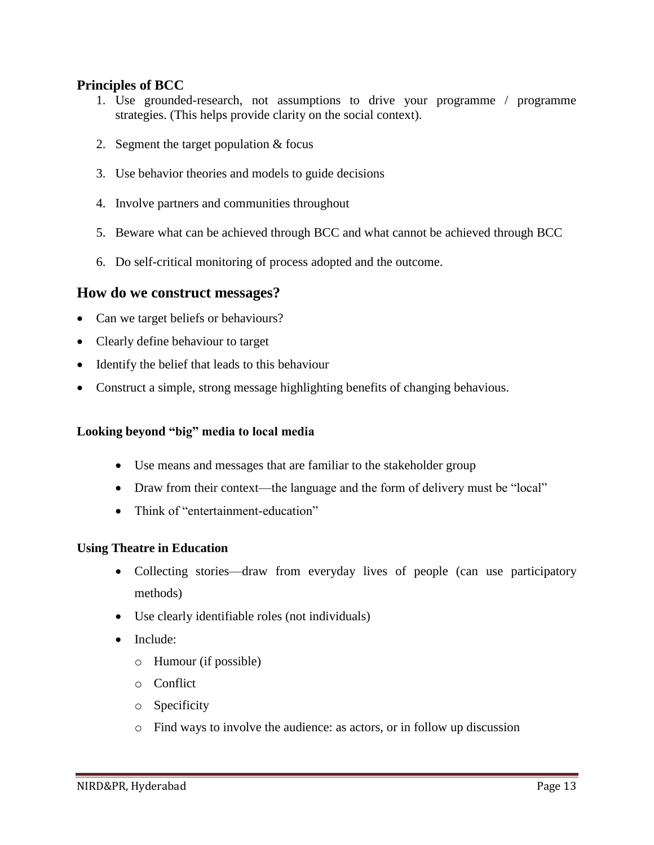#### **Principles of BCC**

- 1. Use grounded-research, not assumptions to drive your programme / programme strategies. (This helps provide clarity on the social context).
- 2. Segment the target population & focus
- 3. Use behavior theories and models to guide decisions
- 4. Involve partners and communities throughout
- 5. Beware what can be achieved through BCC and what cannot be achieved through BCC
- 6. Do self-critical monitoring of process adopted and the outcome.

#### **How do we construct messages?**

- Can we target beliefs or behaviours?
- Clearly define behaviour to target
- Identify the belief that leads to this behaviour
- Construct a simple, strong message highlighting benefits of changing behavious.

#### **Looking beyond "big" media to local media**

- Use means and messages that are familiar to the stakeholder group
- Draw from their context—the language and the form of delivery must be "local"
- Think of "entertainment-education"

#### **Using Theatre in Education**

- Collecting stories—draw from everyday lives of people (can use participatory methods)
- Use clearly identifiable roles (not individuals)
- Include:
	- o Humour (if possible)
	- o Conflict
	- o Specificity
	- o Find ways to involve the audience: as actors, or in follow up discussion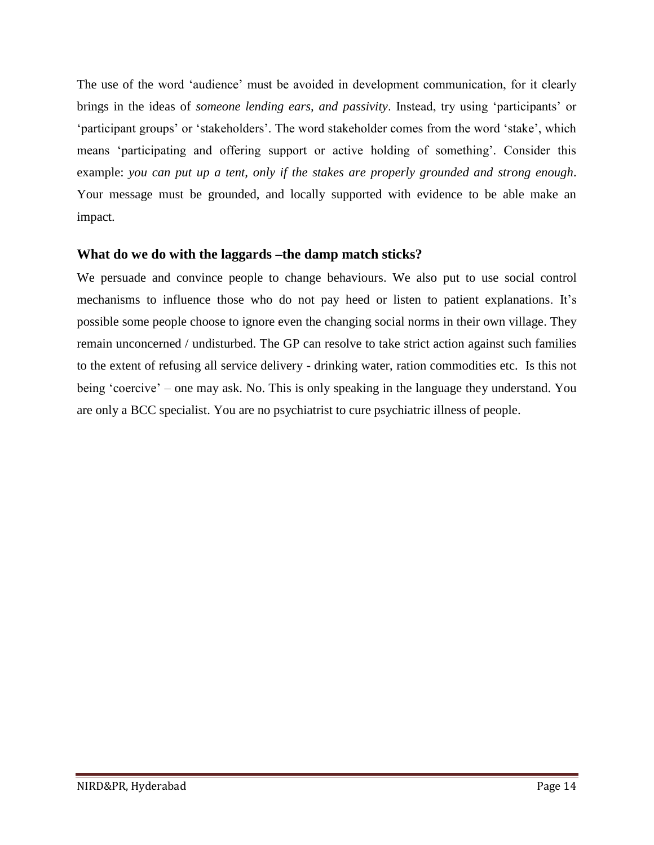The use of the word 'audience' must be avoided in development communication, for it clearly brings in the ideas of *someone lending ears, and passivity*. Instead, try using 'participants' or 'participant groups' or 'stakeholders'. The word stakeholder comes from the word 'stake', which means 'participating and offering support or active holding of something'. Consider this example: *you can put up a tent, only if the stakes are properly grounded and strong enough*. Your message must be grounded, and locally supported with evidence to be able make an impact.

#### **What do we do with the laggards –the damp match sticks?**

We persuade and convince people to change behaviours. We also put to use social control mechanisms to influence those who do not pay heed or listen to patient explanations. It's possible some people choose to ignore even the changing social norms in their own village. They remain unconcerned / undisturbed. The GP can resolve to take strict action against such families to the extent of refusing all service delivery - drinking water, ration commodities etc. Is this not being 'coercive' – one may ask. No. This is only speaking in the language they understand. You are only a BCC specialist. You are no psychiatrist to cure psychiatric illness of people.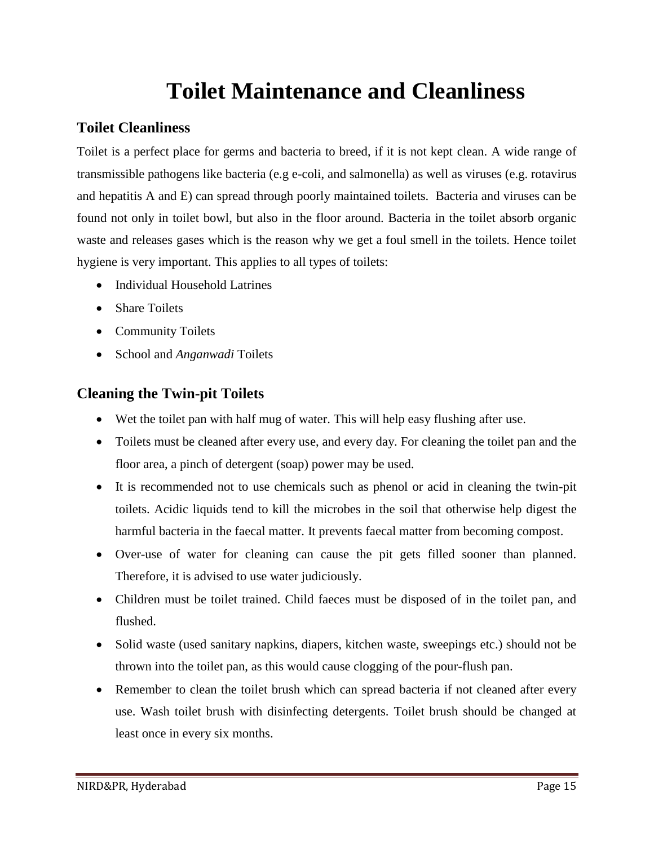# **Toilet Maintenance and Cleanliness**

## **Toilet Cleanliness**

Toilet is a perfect place for germs and bacteria to breed, if it is not kept clean. A wide range of transmissible pathogens like bacteria (e.g e-coli, and salmonella) as well as viruses (e.g. rotavirus and hepatitis A and E) can spread through poorly maintained toilets. Bacteria and viruses can be found not only in toilet bowl, but also in the floor around. Bacteria in the toilet absorb organic waste and releases gases which is the reason why we get a foul smell in the toilets. Hence toilet hygiene is very important. This applies to all types of toilets:

- Individual Household Latrines
- Share Toilets
- Community Toilets
- School and *Anganwadi* Toilets

## **Cleaning the Twin-pit Toilets**

- Wet the toilet pan with half mug of water. This will help easy flushing after use.
- Toilets must be cleaned after every use, and every day. For cleaning the toilet pan and the floor area, a pinch of detergent (soap) power may be used.
- It is recommended not to use chemicals such as phenol or acid in cleaning the twin-pit toilets. Acidic liquids tend to kill the microbes in the soil that otherwise help digest the harmful bacteria in the faecal matter. It prevents faecal matter from becoming compost.
- Over-use of water for cleaning can cause the pit gets filled sooner than planned. Therefore, it is advised to use water judiciously.
- Children must be toilet trained. Child faeces must be disposed of in the toilet pan, and flushed.
- Solid waste (used sanitary napkins, diapers, kitchen waste, sweepings etc.) should not be thrown into the toilet pan, as this would cause clogging of the pour-flush pan.
- Remember to clean the toilet brush which can spread bacteria if not cleaned after every use. Wash toilet brush with disinfecting detergents. Toilet brush should be changed at least once in every six months.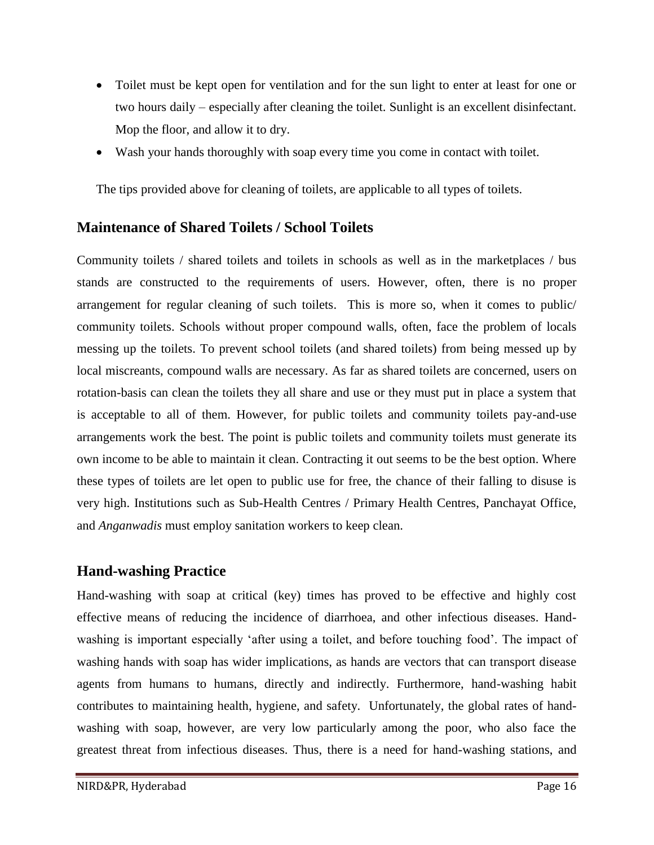- Toilet must be kept open for ventilation and for the sun light to enter at least for one or two hours daily – especially after cleaning the toilet. Sunlight is an excellent disinfectant. Mop the floor, and allow it to dry.
- Wash your hands thoroughly with soap every time you come in contact with toilet.

The tips provided above for cleaning of toilets, are applicable to all types of toilets.

## **Maintenance of Shared Toilets / School Toilets**

Community toilets / shared toilets and toilets in schools as well as in the marketplaces / bus stands are constructed to the requirements of users. However, often, there is no proper arrangement for regular cleaning of such toilets. This is more so, when it comes to public/ community toilets. Schools without proper compound walls, often, face the problem of locals messing up the toilets. To prevent school toilets (and shared toilets) from being messed up by local miscreants, compound walls are necessary. As far as shared toilets are concerned, users on rotation-basis can clean the toilets they all share and use or they must put in place a system that is acceptable to all of them. However, for public toilets and community toilets pay-and-use arrangements work the best. The point is public toilets and community toilets must generate its own income to be able to maintain it clean. Contracting it out seems to be the best option. Where these types of toilets are let open to public use for free, the chance of their falling to disuse is very high. Institutions such as Sub-Health Centres / Primary Health Centres, Panchayat Office, and *Anganwadis* must employ sanitation workers to keep clean.

## **Hand-washing Practice**

Hand-washing with soap at critical (key) times has proved to be effective and highly cost effective means of reducing the incidence of diarrhoea, and other infectious diseases. Handwashing is important especially 'after using a toilet, and before touching food'. The impact of washing hands with soap has wider implications, as hands are vectors that can transport disease agents from humans to humans, directly and indirectly. Furthermore, hand-washing habit contributes to maintaining health, hygiene, and safety. Unfortunately, the global rates of handwashing with soap, however, are very low particularly among the poor, who also face the greatest threat from infectious diseases. Thus, there is a need for hand-washing stations, and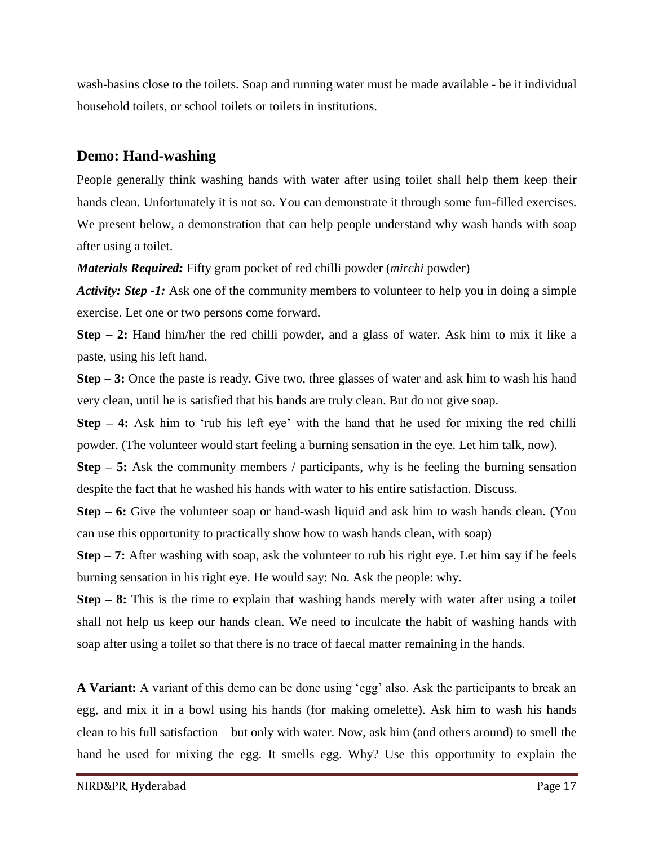wash-basins close to the toilets. Soap and running water must be made available - be it individual household toilets, or school toilets or toilets in institutions.

## **Demo: Hand-washing**

People generally think washing hands with water after using toilet shall help them keep their hands clean. Unfortunately it is not so. You can demonstrate it through some fun-filled exercises. We present below, a demonstration that can help people understand why wash hands with soap after using a toilet.

*Materials Required:* Fifty gram pocket of red chilli powder (*mirchi* powder)

*Activity: Step -1:* Ask one of the community members to volunteer to help you in doing a simple exercise. Let one or two persons come forward.

**Step – 2:** Hand him/her the red chilli powder, and a glass of water. Ask him to mix it like a paste, using his left hand.

**Step – 3:** Once the paste is ready. Give two, three glasses of water and ask him to wash his hand very clean, until he is satisfied that his hands are truly clean. But do not give soap.

**Step – 4:** Ask him to 'rub his left eye' with the hand that he used for mixing the red chilli powder. (The volunteer would start feeling a burning sensation in the eye. Let him talk, now).

**Step – 5:** Ask the community members / participants, why is he feeling the burning sensation despite the fact that he washed his hands with water to his entire satisfaction. Discuss.

**Step – 6:** Give the volunteer soap or hand-wash liquid and ask him to wash hands clean. (You can use this opportunity to practically show how to wash hands clean, with soap)

**Step – 7:** After washing with soap, ask the volunteer to rub his right eye. Let him say if he feels burning sensation in his right eye. He would say: No. Ask the people: why.

**Step – 8:** This is the time to explain that washing hands merely with water after using a toilet shall not help us keep our hands clean. We need to inculcate the habit of washing hands with soap after using a toilet so that there is no trace of faecal matter remaining in the hands.

**A Variant:** A variant of this demo can be done using 'egg' also. Ask the participants to break an egg, and mix it in a bowl using his hands (for making omelette). Ask him to wash his hands clean to his full satisfaction – but only with water. Now, ask him (and others around) to smell the hand he used for mixing the egg. It smells egg. Why? Use this opportunity to explain the